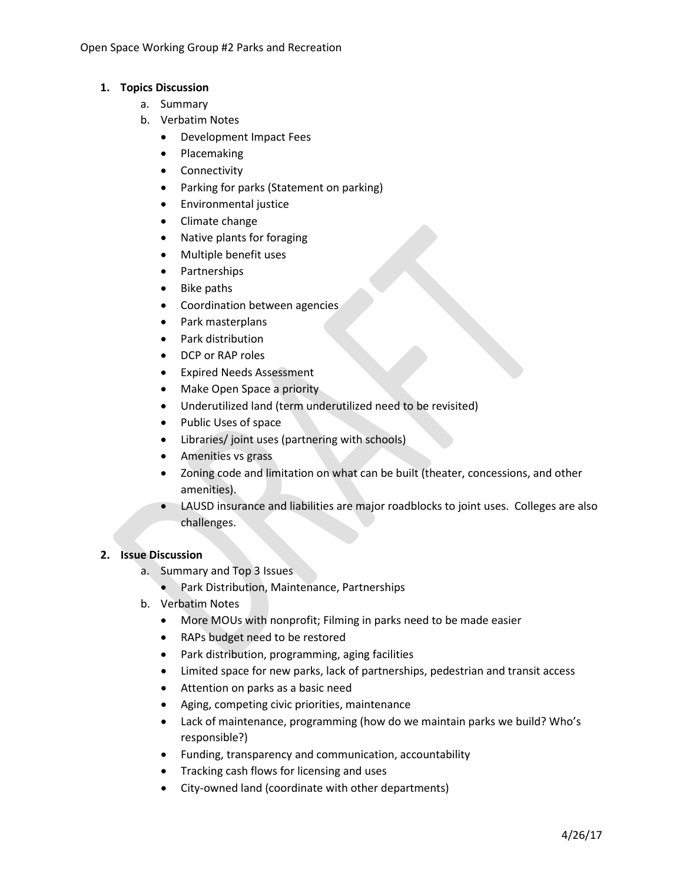Open Space Working Group #2 Parks and Recreation

## **1. Topics Discussion**

- a. Summary
- b. Verbatim Notes
	- Development Impact Fees
	- Placemaking
	- Connectivity
	- Parking for parks (Statement on parking)
	- Environmental justice
	- Climate change
	- Native plants for foraging
	- Multiple benefit uses
	- Partnerships
	- Bike paths
	- Coordination between agencies
	- Park masterplans
	- Park distribution
	- DCP or RAP roles
	- Expired Needs Assessment
	- Make Open Space a priority
	- Underutilized land (term underutilized need to be revisited)
	- Public Uses of space
	- Libraries/ joint uses (partnering with schools)
	- Amenities vs grass
	- Zoning code and limitation on what can be built (theater, concessions, and other amenities).
	- LAUSD insurance and liabilities are major roadblocks to joint uses. Colleges are also challenges.

## **2. Issue Discussion**

- a. Summary and Top 3 Issues
	- Park Distribution, Maintenance, Partnerships
- b. Verbatim Notes
	- More MOUs with nonprofit; Filming in parks need to be made easier
	- RAPs budget need to be restored
	- Park distribution, programming, aging facilities
	- Limited space for new parks, lack of partnerships, pedestrian and transit access
	- Attention on parks as a basic need
	- Aging, competing civic priorities, maintenance
	- Lack of maintenance, programming (how do we maintain parks we build? Who's responsible?)
	- Funding, transparency and communication, accountability
	- Tracking cash flows for licensing and uses
	- City-owned land (coordinate with other departments)